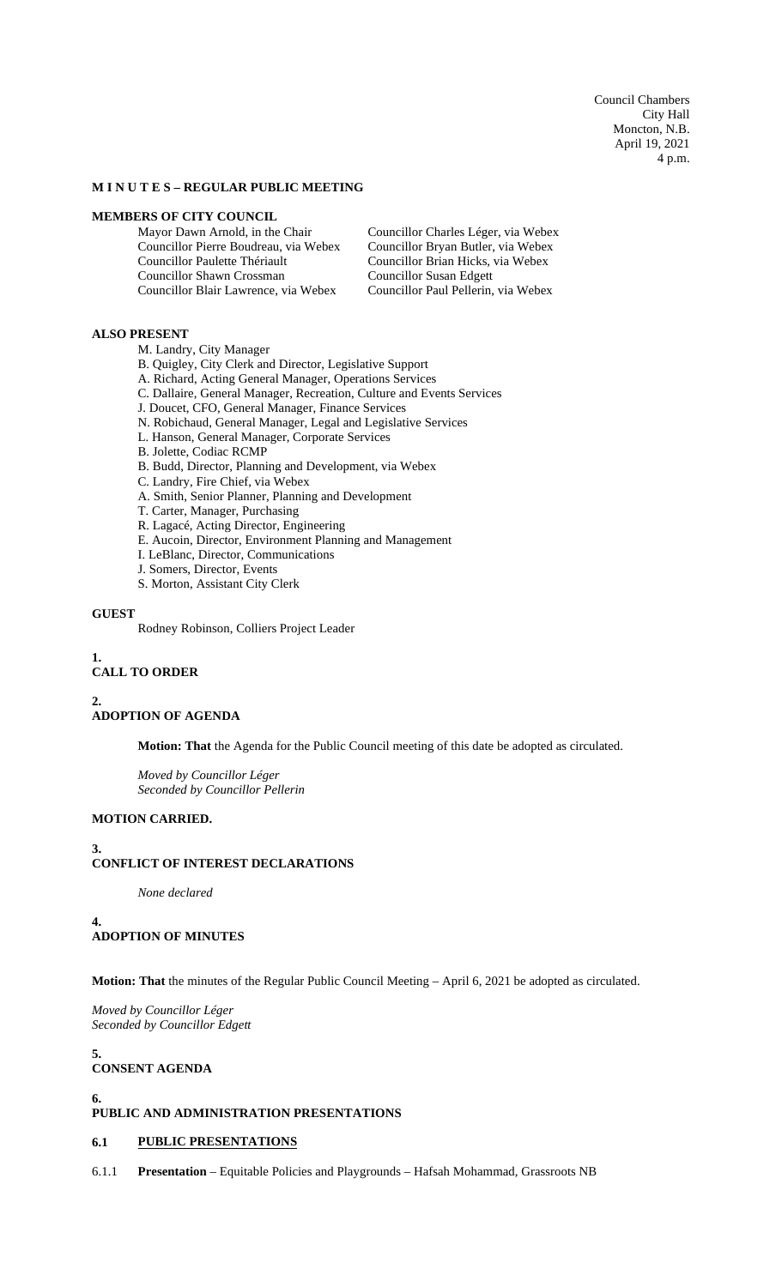Council Chambers City Hall Moncton, N.B. April 19, 2021 4 p.m.

### **M I N U T E S – REGULAR PUBLIC MEETING**

# **MEMBERS OF CITY COUNCIL**<br>Mayor Dawn Arnold, in the Chair

Councillor Pierre Boudreau, via Webex Councillor Bryan Butler, via Webex Councillor Paulette Thériault Councillor Brian Hicks, via Webex Councillor Shawn Crossman Councillor Susan Edgett Councillor Blair Lawrence, via Webex Councillor Paul Pellerin, via Webex

Councillor Charles Léger, via Webex

### **ALSO PRESENT**

M. Landry, City Manager

- B. Quigley, City Clerk and Director, Legislative Support
- A. Richard, Acting General Manager, Operations Services
- C. Dallaire, General Manager, Recreation, Culture and Events Services
- J. Doucet, CFO, General Manager, Finance Services
- N. Robichaud, General Manager, Legal and Legislative Services
- L. Hanson, General Manager, Corporate Services
- B. Jolette, Codiac RCMP
- B. Budd, Director, Planning and Development, via Webex
- C. Landry, Fire Chief, via Webex
- A. Smith, Senior Planner, Planning and Development
- T. Carter, Manager, Purchasing
- R. Lagacé, Acting Director, Engineering
- E. Aucoin, Director, Environment Planning and Management
- I. LeBlanc, Director, Communications
- J. Somers, Director, Events
- S. Morton, Assistant City Clerk

# **GUEST**

Rodney Robinson, Colliers Project Leader

# **1.**

# **CALL TO ORDER**

**2.**

# **ADOPTION OF AGENDA**

**Motion: That** the Agenda for the Public Council meeting of this date be adopted as circulated.

*Moved by Councillor Léger Seconded by Councillor Pellerin*

# **MOTION CARRIED.**

#### **3. CONFLICT OF INTEREST DECLARATIONS**

*None declared*

**4. ADOPTION OF MINUTES**

**Motion: That** the minutes of the Regular Public Council Meeting – April 6, 2021 be adopted as circulated.

*Moved by Councillor Léger Seconded by Councillor Edgett*

**5. CONSENT AGENDA**

# **6.**

# **PUBLIC AND ADMINISTRATION PRESENTATIONS**

### **6.1 PUBLIC PRESENTATIONS**

6.1.1 **Presentation** – Equitable Policies and Playgrounds – Hafsah Mohammad, Grassroots NB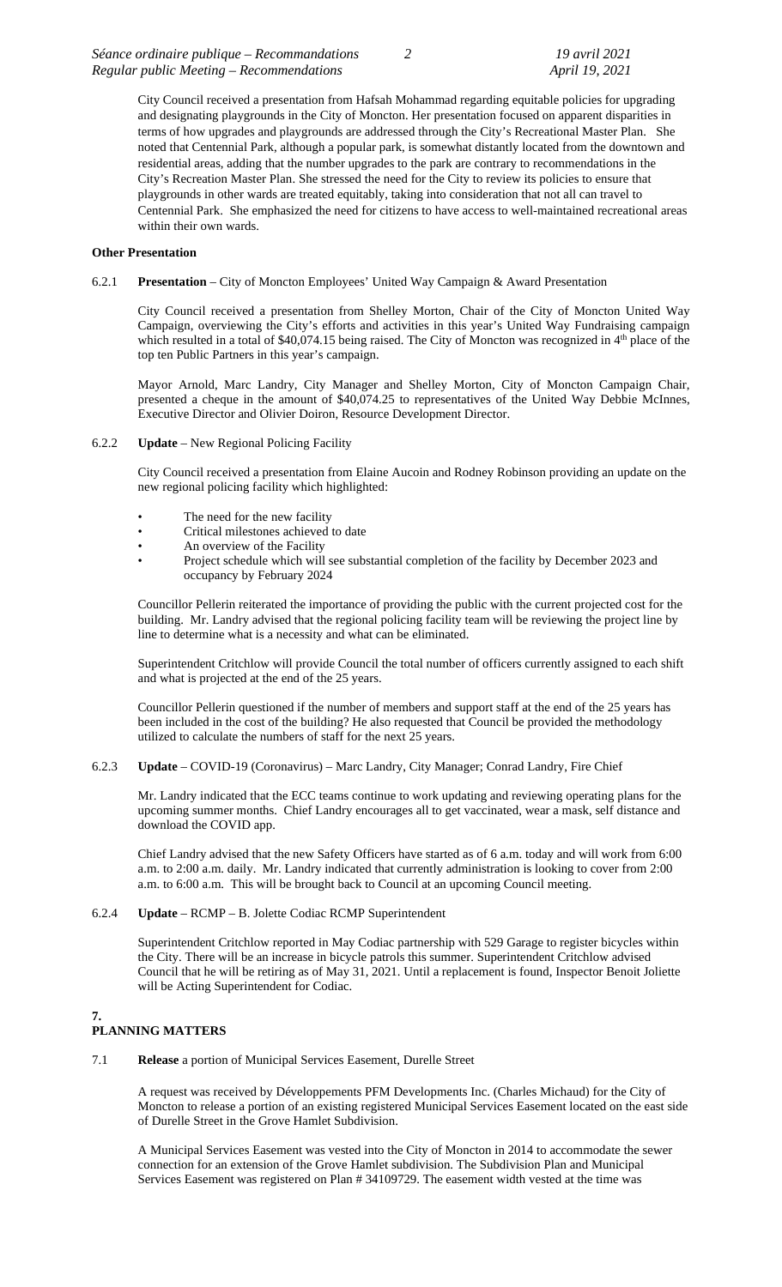City Council received a presentation from Hafsah Mohammad regarding equitable policies for upgrading and designating playgrounds in the City of Moncton. Her presentation focused on apparent disparities in terms of how upgrades and playgrounds are addressed through the City's Recreational Master Plan. She noted that Centennial Park, although a popular park, is somewhat distantly located from the downtown and residential areas, adding that the number upgrades to the park are contrary to recommendations in the City's Recreation Master Plan. She stressed the need for the City to review its policies to ensure that playgrounds in other wards are treated equitably, taking into consideration that not all can travel to Centennial Park. She emphasized the need for citizens to have access to well-maintained recreational areas within their own wards.

### **Other Presentation**

### 6.2.1 **Presentation** – City of Moncton Employees' United Way Campaign & Award Presentation

City Council received a presentation from Shelley Morton, Chair of the City of Moncton United Way Campaign, overviewing the City's efforts and activities in this year's United Way Fundraising campaign which resulted in a total of \$40,074.15 being raised. The City of Moncton was recognized in 4<sup>th</sup> place of the top ten Public Partners in this year's campaign.

Mayor Arnold, Marc Landry, City Manager and Shelley Morton, City of Moncton Campaign Chair, presented a cheque in the amount of \$40,074.25 to representatives of the United Way Debbie McInnes, Executive Director and Olivier Doiron, Resource Development Director.

# 6.2.2 **Update** – New Regional Policing Facility

City Council received a presentation from Elaine Aucoin and Rodney Robinson providing an update on the new regional policing facility which highlighted:

- The need for the new facility<br>Critical milestones achieved
- Critical milestones achieved to date
- An overview of the Facility
- Project schedule which will see substantial completion of the facility by December 2023 and occupancy by February 2024

Councillor Pellerin reiterated the importance of providing the public with the current projected cost for the building. Mr. Landry advised that the regional policing facility team will be reviewing the project line by line to determine what is a necessity and what can be eliminated.

Superintendent Critchlow will provide Council the total number of officers currently assigned to each shift and what is projected at the end of the 25 years.

Councillor Pellerin questioned if the number of members and support staff at the end of the 25 years has been included in the cost of the building? He also requested that Council be provided the methodology utilized to calculate the numbers of staff for the next 25 years.

#### 6.2.3 **Update** – COVID-19 (Coronavirus) – Marc Landry, City Manager; Conrad Landry, Fire Chief

Mr. Landry indicated that the ECC teams continue to work updating and reviewing operating plans for the upcoming summer months. Chief Landry encourages all to get vaccinated, wear a mask, self distance and download the COVID app.

Chief Landry advised that the new Safety Officers have started as of 6 a.m. today and will work from 6:00 a.m. to 2:00 a.m. daily. Mr. Landry indicated that currently administration is looking to cover from 2:00 a.m. to 6:00 a.m. This will be brought back to Council at an upcoming Council meeting.

# 6.2.4 **Update** – RCMP – B. Jolette Codiac RCMP Superintendent

Superintendent Critchlow reported in May Codiac partnership with 529 Garage to register bicycles within the City. There will be an increase in bicycle patrols this summer. Superintendent Critchlow advised Council that he will be retiring as of May 31, 2021. Until a replacement is found, Inspector Benoit Joliette will be Acting Superintendent for Codiac.

#### **7. PLANNING MATTERS**

# 7.1 **Release** a portion of Municipal Services Easement, Durelle Street

A request was received by Développements PFM Developments Inc. (Charles Michaud) for the City of Moncton to release a portion of an existing registered Municipal Services Easement located on the east side of Durelle Street in the Grove Hamlet Subdivision.

A Municipal Services Easement was vested into the City of Moncton in 2014 to accommodate the sewer connection for an extension of the Grove Hamlet subdivision. The Subdivision Plan and Municipal Services Easement was registered on Plan # 34109729. The easement width vested at the time was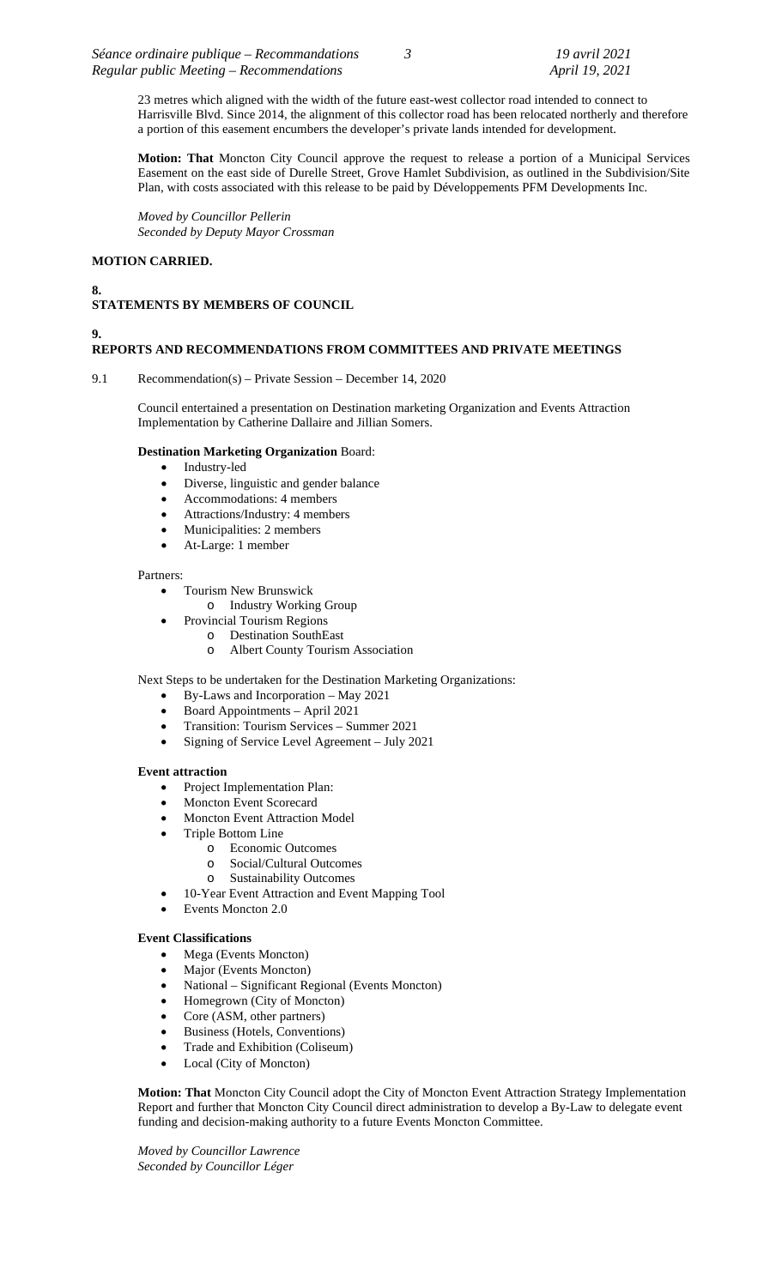23 metres which aligned with the width of the future east-west collector road intended to connect to Harrisville Blvd. Since 2014, the alignment of this collector road has been relocated northerly and therefore a portion of this easement encumbers the developer's private lands intended for development.

**Motion: That** Moncton City Council approve the request to release a portion of a Municipal Services Easement on the east side of Durelle Street, Grove Hamlet Subdivision, as outlined in the Subdivision/Site Plan, with costs associated with this release to be paid by Développements PFM Developments Inc.

*Moved by Councillor Pellerin Seconded by Deputy Mayor Crossman*

# **MOTION CARRIED.**

#### **8. STATEMENTS BY MEMBERS OF COUNCIL**

# **9.**

# **REPORTS AND RECOMMENDATIONS FROM COMMITTEES AND PRIVATE MEETINGS**

9.1 Recommendation(s) – Private Session – December 14, 2020

Council entertained a presentation on Destination marketing Organization and Events Attraction Implementation by Catherine Dallaire and Jillian Somers.

# **Destination Marketing Organization** Board:

- Industry-led
- Diverse, linguistic and gender balance
- Accommodations: 4 members
- Attractions/Industry: 4 members
- Municipalities: 2 members
- At-Large: 1 member

#### Partners:

- Tourism New Brunswick
	- o Industry Working Group
	- Provincial Tourism Regions
		- o Destination SouthEast
			- o Albert County Tourism Association

Next Steps to be undertaken for the Destination Marketing Organizations:

- By-Laws and Incorporation May 2021
- Board Appointments April 2021
- Transition: Tourism Services Summer 2021
- Signing of Service Level Agreement July 2021

# **Event attraction**

- Project Implementation Plan:
- Moncton Event Scorecard
- Moncton Event Attraction Model
- Triple Bottom Line
	- o Economic Outcomes
	- o Social/Cultural Outcomes
	- o Sustainability Outcomes
- 10-Year Event Attraction and Event Mapping Tool
- Events Moncton 2.0

# **Event Classifications**

- Mega (Events Moncton)
- Major (Events Moncton)
- National Significant Regional (Events Moncton)
- Homegrown (City of Moncton)
- Core (ASM, other partners)
- Business (Hotels, Conventions)
- Trade and Exhibition (Coliseum)
- Local (City of Moncton)

**Motion: That** Moncton City Council adopt the City of Moncton Event Attraction Strategy Implementation Report and further that Moncton City Council direct administration to develop a By-Law to delegate event funding and decision-making authority to a future Events Moncton Committee.

*Moved by Councillor Lawrence Seconded by Councillor Léger*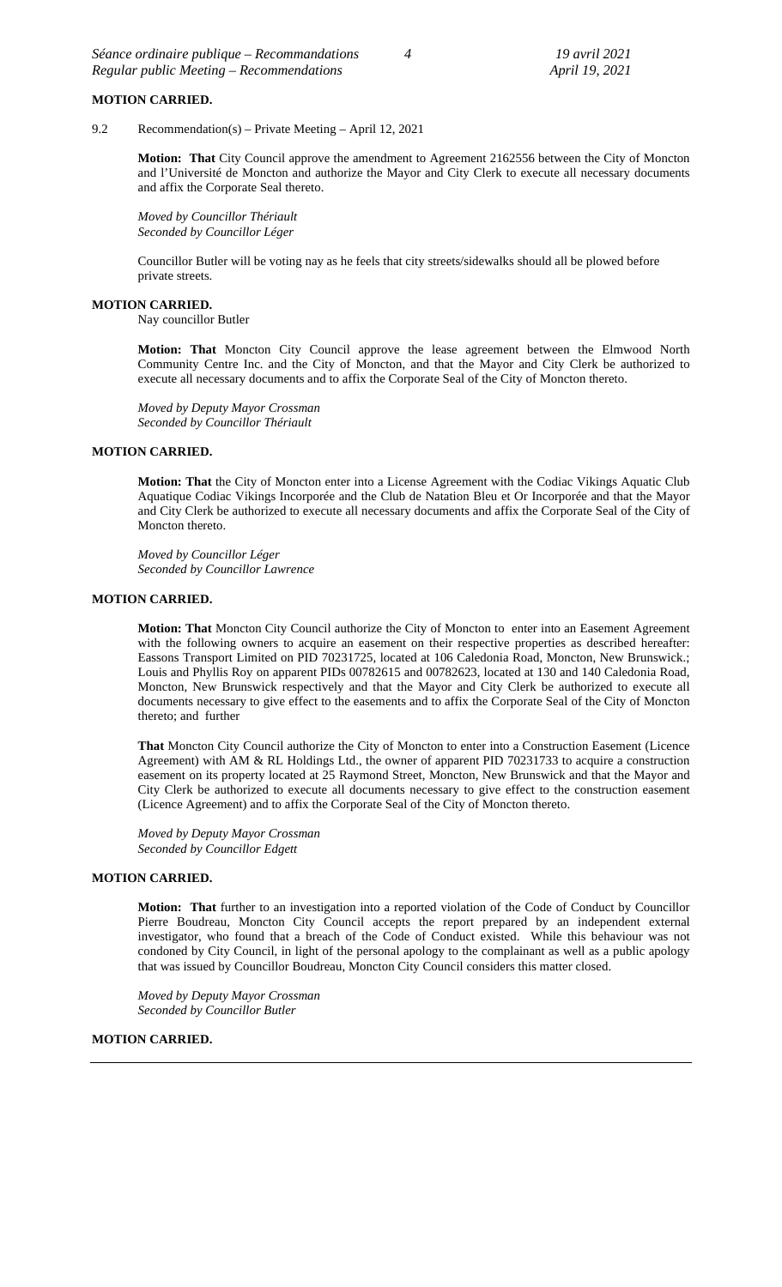### **MOTION CARRIED.**

9.2 Recommendation(s) – Private Meeting – April 12, 2021

**Motion: That** City Council approve the amendment to Agreement 2162556 between the City of Moncton and l'Université de Moncton and authorize the Mayor and City Clerk to execute all necessary documents and affix the Corporate Seal thereto.

*Moved by Councillor Thériault Seconded by Councillor Léger*

Councillor Butler will be voting nay as he feels that city streets/sidewalks should all be plowed before private streets.

#### **MOTION CARRIED.**

Nay councillor Butler

**Motion: That** Moncton City Council approve the lease agreement between the Elmwood North Community Centre Inc. and the City of Moncton, and that the Mayor and City Clerk be authorized to execute all necessary documents and to affix the Corporate Seal of the City of Moncton thereto.

*Moved by Deputy Mayor Crossman Seconded by Councillor Thériault*

# **MOTION CARRIED.**

**Motion: That** the City of Moncton enter into a License Agreement with the Codiac Vikings Aquatic Club Aquatique Codiac Vikings Incorporée and the Club de Natation Bleu et Or Incorporée and that the Mayor and City Clerk be authorized to execute all necessary documents and affix the Corporate Seal of the City of Moncton thereto.

*Moved by Councillor Léger Seconded by Councillor Lawrence*

### **MOTION CARRIED.**

**Motion: That** Moncton City Council authorize the City of Moncton to enter into an Easement Agreement with the following owners to acquire an easement on their respective properties as described hereafter: Eassons Transport Limited on PID 70231725, located at 106 Caledonia Road, Moncton, New Brunswick.; Louis and Phyllis Roy on apparent PIDs 00782615 and 00782623, located at 130 and 140 Caledonia Road, Moncton, New Brunswick respectively and that the Mayor and City Clerk be authorized to execute all documents necessary to give effect to the easements and to affix the Corporate Seal of the City of Moncton thereto; and further

**That** Moncton City Council authorize the City of Moncton to enter into a Construction Easement (Licence Agreement) with AM & RL Holdings Ltd., the owner of apparent PID 70231733 to acquire a construction easement on its property located at 25 Raymond Street, Moncton, New Brunswick and that the Mayor and City Clerk be authorized to execute all documents necessary to give effect to the construction easement (Licence Agreement) and to affix the Corporate Seal of the City of Moncton thereto.

*Moved by Deputy Mayor Crossman Seconded by Councillor Edgett*

#### **MOTION CARRIED.**

**Motion: That** further to an investigation into a reported violation of the Code of Conduct by Councillor Pierre Boudreau, Moncton City Council accepts the report prepared by an independent external investigator, who found that a breach of the Code of Conduct existed. While this behaviour was not condoned by City Council, in light of the personal apology to the complainant as well as a public apology that was issued by Councillor Boudreau, Moncton City Council considers this matter closed.

*Moved by Deputy Mayor Crossman Seconded by Councillor Butler*

# **MOTION CARRIED.**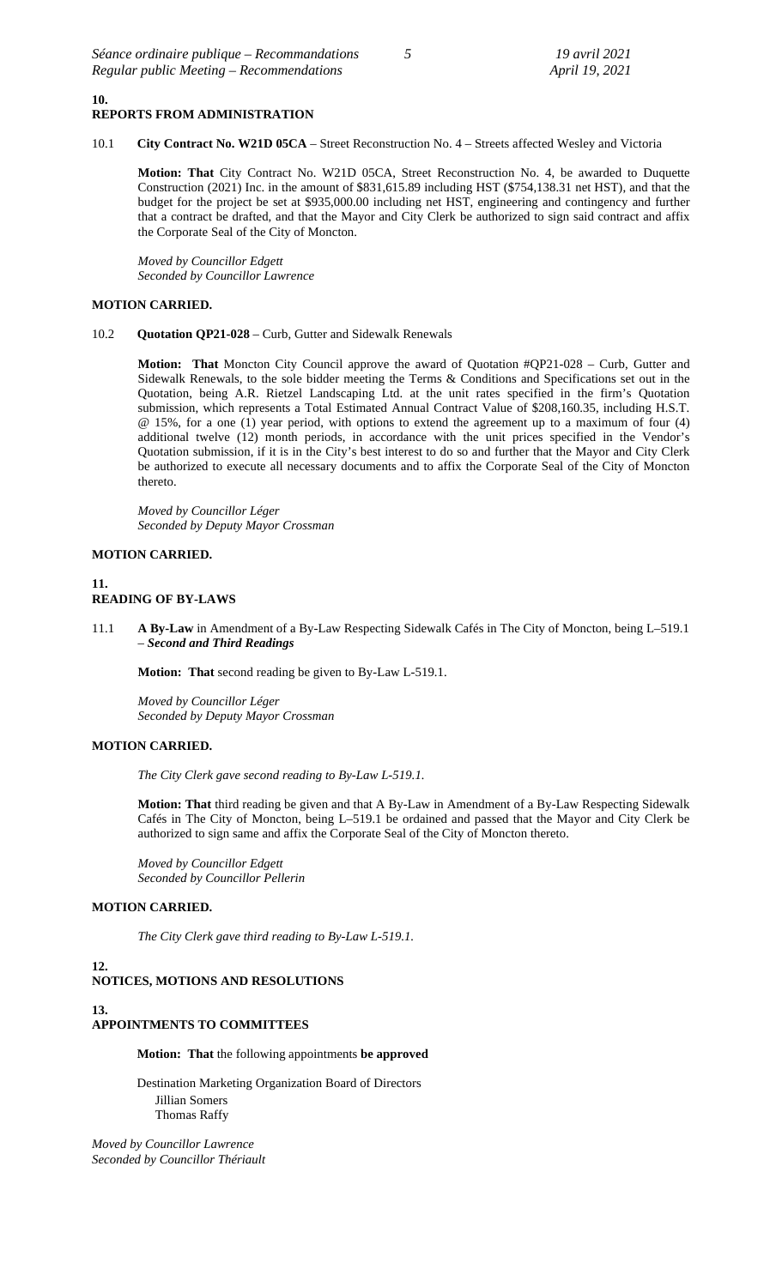#### **10. REPORTS FROM ADMINISTRATION**

10.1 **City Contract No. W21D 05CA** – Street Reconstruction No. 4 – Streets affected Wesley and Victoria

**Motion: That** City Contract No. W21D 05CA, Street Reconstruction No. 4, be awarded to Duquette Construction (2021) Inc. in the amount of \$831,615.89 including HST (\$754,138.31 net HST), and that the budget for the project be set at \$935,000.00 including net HST, engineering and contingency and further that a contract be drafted, and that the Mayor and City Clerk be authorized to sign said contract and affix the Corporate Seal of the City of Moncton.

*Moved by Councillor Edgett Seconded by Councillor Lawrence*

# **MOTION CARRIED.**

### 10.2 **Quotation QP21-028** – Curb, Gutter and Sidewalk Renewals

**Motion: That** Moncton City Council approve the award of Quotation #QP21-028 – Curb, Gutter and Sidewalk Renewals, to the sole bidder meeting the Terms & Conditions and Specifications set out in the Quotation, being A.R. Rietzel Landscaping Ltd. at the unit rates specified in the firm's Quotation submission, which represents a Total Estimated Annual Contract Value of \$208,160.35, including H.S.T. @ 15%, for a one (1) year period, with options to extend the agreement up to a maximum of four (4) additional twelve (12) month periods, in accordance with the unit prices specified in the Vendor's Quotation submission, if it is in the City's best interest to do so and further that the Mayor and City Clerk be authorized to execute all necessary documents and to affix the Corporate Seal of the City of Moncton thereto.

*Moved by Councillor Léger Seconded by Deputy Mayor Crossman*

# **MOTION CARRIED.**

# **11. READING OF BY-LAWS**

11.1 **A By-Law** in Amendment of a By-Law Respecting Sidewalk Cafés in The City of Moncton, being L–519.1 – *Second and Third Readings*

**Motion: That** second reading be given to By-Law L-519.1.

*Moved by Councillor Léger Seconded by Deputy Mayor Crossman*

# **MOTION CARRIED.**

*The City Clerk gave second reading to By-Law L-519.1.*

**Motion: That** third reading be given and that A By-Law in Amendment of a By-Law Respecting Sidewalk Cafés in The City of Moncton, being L–519.1 be ordained and passed that the Mayor and City Clerk be authorized to sign same and affix the Corporate Seal of the City of Moncton thereto.

*Moved by Councillor Edgett Seconded by Councillor Pellerin*

# **MOTION CARRIED.**

*The City Clerk gave third reading to By-Law L-519.1.*

**12.**

# **NOTICES, MOTIONS AND RESOLUTIONS**

**13. APPOINTMENTS TO COMMITTEES**

**Motion: That** the following appointments **be approved**

Destination Marketing Organization Board of Directors Jillian Somers Thomas Raffy

*Moved by Councillor Lawrence Seconded by Councillor Thériault*